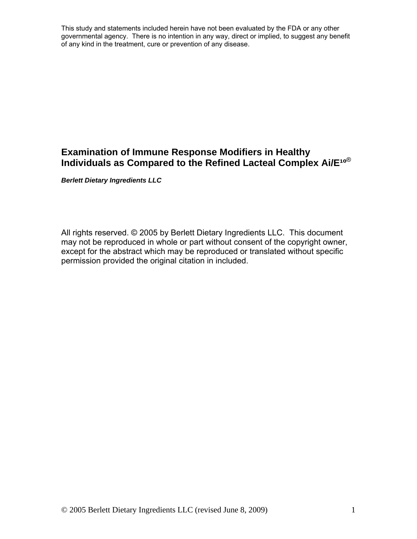# **Examination of Immune Response Modifiers in Healthy Individuals as Compared to the Refined Lacteal Complex Ai/E<sup>10®</sup>**

*Berlett Dietary Ingredients LLC* 

All rights reserved. © 2005 by Berlett Dietary Ingredients LLC. This document may not be reproduced in whole or part without consent of the copyright owner, except for the abstract which may be reproduced or translated without specific permission provided the original citation in included.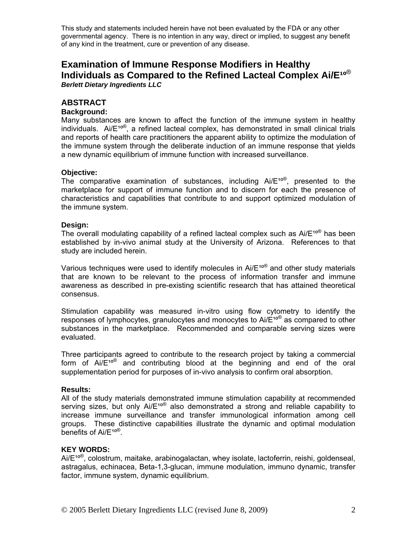# **Examination of Immune Response Modifiers in Healthy**  Individuals as Compared to the Refined Lacteal Complex Ai/E<sup>10®</sup> *Berlett Dietary Ingredients LLC*

## **ABSTRACT**

#### **Background:**

Many substances are known to affect the function of the immune system in healthy individuals. Ai/ $E^{10}$ <sup>®</sup>, a refined lacteal complex, has demonstrated in small clinical trials and reports of health care practitioners the apparent ability to optimize the modulation of the immune system through the deliberate induction of an immune response that yields a new dynamic equilibrium of immune function with increased surveillance.

#### **Objective:**

The comparative examination of substances, including  $Ai/E^{10}$ <sup>®</sup>, presented to the marketplace for support of immune function and to discern for each the presence of characteristics and capabilities that contribute to and support optimized modulation of the immune system.

#### **Design:**

The overall modulating capability of a refined lacteal complex such as  $Ai/E^{10}$  has been established by in-vivo animal study at the University of Arizona. References to that study are included herein.

Various techniques were used to identify molecules in  $Ai/E^{10}$  and other study materials that are known to be relevant to the process of information transfer and immune awareness as described in pre-existing scientific research that has attained theoretical consensus.

Stimulation capability was measured in-vitro using flow cytometry to identify the responses of lymphocytes, granulocytes and monocytes to  $Ai/E^{10}$  as compared to other substances in the marketplace. Recommended and comparable serving sizes were evaluated.

Three participants agreed to contribute to the research project by taking a commercial form of  $Ai/E^{10\%}$  and contributing blood at the beginning and end of the oral supplementation period for purposes of in-vivo analysis to confirm oral absorption.

#### **Results:**

All of the study materials demonstrated immune stimulation capability at recommended serving sizes, but only Ai/E<sup>10®</sup> also demonstrated a strong and reliable capability to increase immune surveillance and transfer immunological information among cell groups. These distinctive capabilities illustrate the dynamic and optimal modulation benefits of Ai/E<sup>10®</sup>.

#### **KEY WORDS:**

 $Ai/E^{10\%}$ , colostrum, maitake, arabinogalactan, whey isolate, lactoferrin, reishi, goldenseal, astragalus, echinacea, Beta-1,3-glucan, immune modulation, immuno dynamic, transfer factor, immune system, dynamic equilibrium.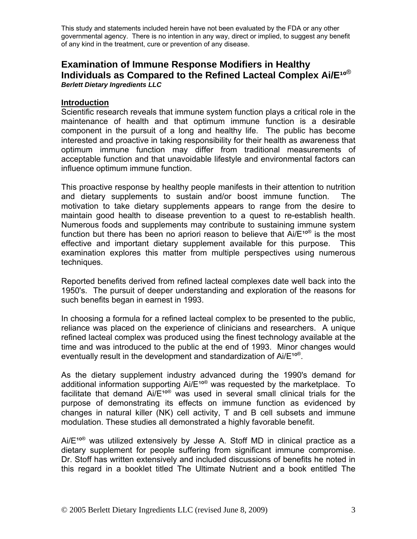# **Examination of Immune Response Modifiers in Healthy Individuals as Compared to the Refined Lacteal Complex Ai/E<sup>10®</sup>** *Berlett Dietary Ingredients LLC*

#### **Introduction**

Scientific research reveals that immune system function plays a critical role in the maintenance of health and that optimum immune function is a desirable component in the pursuit of a long and healthy life. The public has become interested and proactive in taking responsibility for their health as awareness that optimum immune function may differ from traditional measurements of acceptable function and that unavoidable lifestyle and environmental factors can influence optimum immune function.

This proactive response by healthy people manifests in their attention to nutrition and dietary supplements to sustain and/or boost immune function. The motivation to take dietary supplements appears to range from the desire to maintain good health to disease prevention to a quest to re-establish health. Numerous foods and supplements may contribute to sustaining immune system function but there has been no apriori reason to believe that  $Ai/E^{100}$  is the most effective and important dietary supplement available for this purpose. This examination explores this matter from multiple perspectives using numerous techniques.

Reported benefits derived from refined lacteal complexes date well back into the 1950's. The pursuit of deeper understanding and exploration of the reasons for such benefits began in earnest in 1993.

In choosing a formula for a refined lacteal complex to be presented to the public, reliance was placed on the experience of clinicians and researchers. A unique refined lacteal complex was produced using the finest technology available at the time and was introduced to the public at the end of 1993. Minor changes would eventually result in the development and standardization of  $Ai/E^{10\%}$ .

As the dietary supplement industry advanced during the 1990's demand for additional information supporting  $Ai/E^{100}$  was requested by the marketplace. To facilitate that demand  $Ai/E^{100}$  was used in several small clinical trials for the purpose of demonstrating its effects on immune function as evidenced by changes in natural killer (NK) cell activity, T and B cell subsets and immune modulation. These studies all demonstrated a highly favorable benefit.

 $Ai/E^{10\textdegree}$  was utilized extensively by Jesse A. Stoff MD in clinical practice as a dietary supplement for people suffering from significant immune compromise. Dr. Stoff has written extensively and included discussions of benefits he noted in this regard in a booklet titled The Ultimate Nutrient and a book entitled The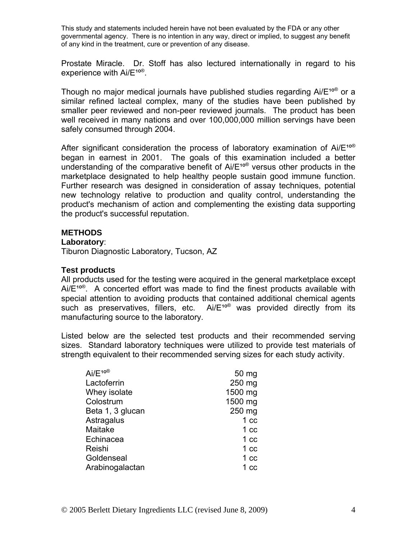Prostate Miracle. Dr. Stoff has also lectured internationally in regard to his experience with  $Ai/E^{10}$ <sup>®</sup>.

Though no major medical journals have published studies regarding  $Ai/E^{10\%}$  or a similar refined lacteal complex, many of the studies have been published by smaller peer reviewed and non-peer reviewed journals. The product has been well received in many nations and over 100,000,000 million servings have been safely consumed through 2004.

After significant consideration the process of laboratory examination of Ai/ $E^{10}$ <sup>®</sup> began in earnest in 2001. The goals of this examination included a better understanding of the comparative benefit of  $Ai/E^{100}$  versus other products in the marketplace designated to help healthy people sustain good immune function. Further research was designed in consideration of assay techniques, potential new technology relative to production and quality control, understanding the product's mechanism of action and complementing the existing data supporting the product's successful reputation.

#### **METHODS**

#### **Laboratory**:

Tiburon Diagnostic Laboratory, Tucson, AZ

#### **Test products**

All products used for the testing were acquired in the general marketplace except Ai/ $E^{10\%}$ . A concerted effort was made to find the finest products available with special attention to avoiding products that contained additional chemical agents such as preservatives, fillers, etc.  $Ai/E^{10}$  was provided directly from its manufacturing source to the laboratory.

Listed below are the selected test products and their recommended serving sizes. Standard laboratory techniques were utilized to provide test materials of strength equivalent to their recommended serving sizes for each study activity.

| $Ai/E^{100}$     | 50 mg           |
|------------------|-----------------|
| Lactoferrin      | 250 mg          |
| Whey isolate     | 1500 mg         |
| Colostrum        | 1500 mg         |
| Beta 1, 3 glucan | 250 mg          |
| Astragalus       | 1 <sub>cc</sub> |
| Maitake          | 1 <sub>cc</sub> |
| Echinacea        | 1 <sub>cc</sub> |
| Reishi           | 1 <sub>cc</sub> |
| Goldenseal       | 1 <sub>cc</sub> |
| Arabinogalactan  | 1 <sub>cc</sub> |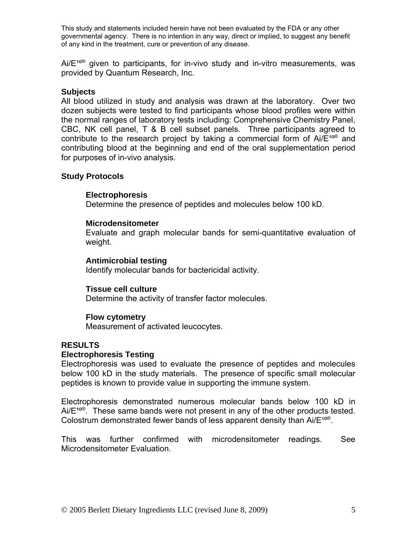$Ai/E<sup>10®</sup>$  given to participants, for in-vivo study and in-vitro measurements, was provided by Quantum Research, Inc.

# **Subjects**

All blood utilized in study and analysis was drawn at the laboratory. Over two dozen subjects were tested to find participants whose blood profiles were within the normal ranges of laboratory tests including: Comprehensive Chemistry Panel, CBC, NK cell panel, T & B cell subset panels. Three participants agreed to contribute to the research project by taking a commercial form of  $Ai/E^{10}$  and contributing blood at the beginning and end of the oral supplementation period for purposes of in-vivo analysis.

# **Study Protocols**

## **Electrophoresis**

Determine the presence of peptides and molecules below 100 kD.

## **Microdensitometer**

 Evaluate and graph molecular bands for semi-quantitative evaluation of weight.

## **Antimicrobial testing**

Identify molecular bands for bactericidal activity.

## **Tissue cell culture**

Determine the activity of transfer factor molecules.

## **Flow cytometry**

Measurement of activated leucocytes.

# **RESULTS**

## **Electrophoresis Testing**

Electrophoresis was used to evaluate the presence of peptides and molecules below 100 kD in the study materials. The presence of specific small molecular peptides is known to provide value in supporting the immune system.

Electrophoresis demonstrated numerous molecular bands below 100 kD in  $Ai/E^{10\%}$ . These same bands were not present in any of the other products tested. Colostrum demonstrated fewer bands of less apparent density than  $Ai/E^{10\%}$ .

This was further confirmed with microdensitometer readings. See Microdensitometer Evaluation.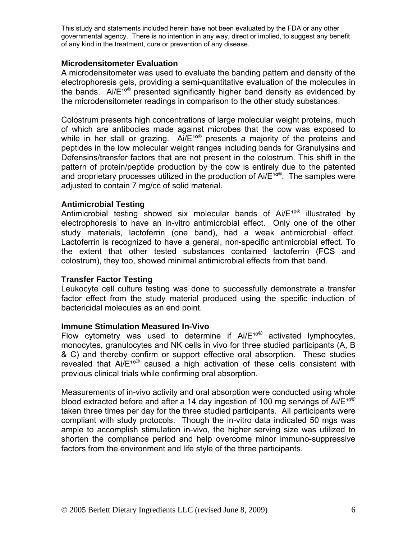## **Microdensitometer Evaluation**

A microdensitometer was used to evaluate the banding pattern and density of the electrophoresis gels, providing a semi-quantitative evaluation of the molecules in the bands. Ai/ $E^{10}$ <sup>®</sup> presented significantly higher band density as evidenced by the microdensitometer readings in comparison to the other study substances.

Colostrum presents high concentrations of large molecular weight proteins, much of which are antibodies made against microbes that the cow was exposed to while in her stall or grazing.  $Ai/E^{10\%}$  presents a majority of the proteins and peptides in the low molecular weight ranges including bands for Granulysins and Defensins/transfer factors that are not present in the colostrum. This shift in the pattern of protein/peptide production by the cow is entirely due to the patented and proprietary processes utilized in the production of  $Ai/E^{10}$ <sup>®</sup>. The samples were adjusted to contain 7 mg/cc of solid material.

#### **Antimicrobial Testing**

Antimicrobial testing showed six molecular bands of  $Ai/E^{10\textdegree}$  illustrated by electrophoresis to have an in-vitro antimicrobial effect. Only one of the other study materials, lactoferrin (one band), had a weak antimicrobial effect. Lactoferrin is recognized to have a general, non-specific antimicrobial effect. To the extent that other tested substances contained lactoferrin (FCS and colostrum), they too, showed minimal antimicrobial effects from that band.

## **Transfer Factor Testing**

Leukocyte cell culture testing was done to successfully demonstrate a transfer factor effect from the study material produced using the specific induction of bactericidal molecules as an end point.

#### **Immune Stimulation Measured In-Vivo**

Flow cytometry was used to determine if  $Ai/E^{1000}$  activated lymphocytes, monocytes, granulocytes and NK cells in vivo for three studied participants (A, B & C) and thereby confirm or support effective oral absorption. These studies revealed that  $Ai/E^{10}$ <sup>®</sup> caused a high activation of these cells consistent with previous clinical trials while confirming oral absorption.

Measurements of in-vivo activity and oral absorption were conducted using whole blood extracted before and after a 14 day ingestion of 100 mg servings of  $Ai/E^{10}$ <sup>®</sup> taken three times per day for the three studied participants. All participants were compliant with study protocols. Though the in-vitro data indicated 50 mgs was ample to accomplish stimulation in-vivo, the higher serving size was utilized to shorten the compliance period and help overcome minor immuno-suppressive factors from the environment and life style of the three participants.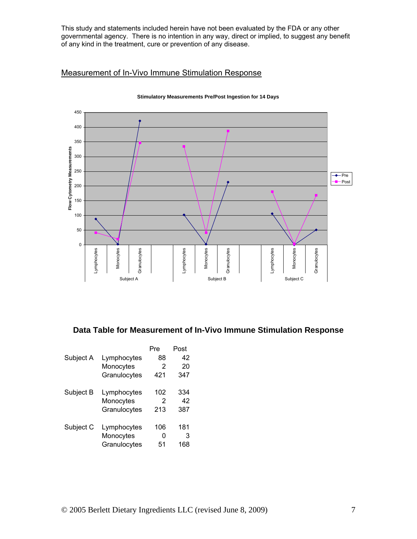# Measurement of In-Vivo Immune Stimulation Response



#### **Stimulatory Measurements Pre/Post Ingestion for 14 Days**

# **Data Table for Measurement of In-Vivo Immune Stimulation Response**

| 42  |
|-----|
| 20  |
| 347 |
| 334 |
| 42  |
| 387 |
| 181 |
| 3   |
| 168 |
|     |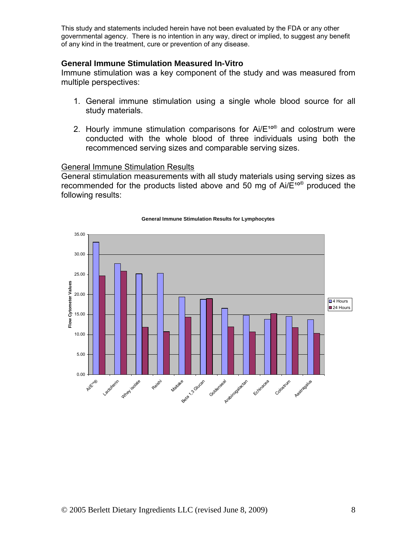#### **General Immune Stimulation Measured In-Vitro**

Immune stimulation was a key component of the study and was measured from multiple perspectives:

- 1. General immune stimulation using a single whole blood source for all study materials.
- 2. Hourly immune stimulation comparisons for  $Ai/E^{100}$  and colostrum were conducted with the whole blood of three individuals using both the recommenced serving sizes and comparable serving sizes.

#### General Immune Stimulation Results

General stimulation measurements with all study materials using serving sizes as recommended for the products listed above and 50 mg of  $Ai/E^{10}$  produced the following results:



#### **General Immune Stimulation Results for Lymphocytes**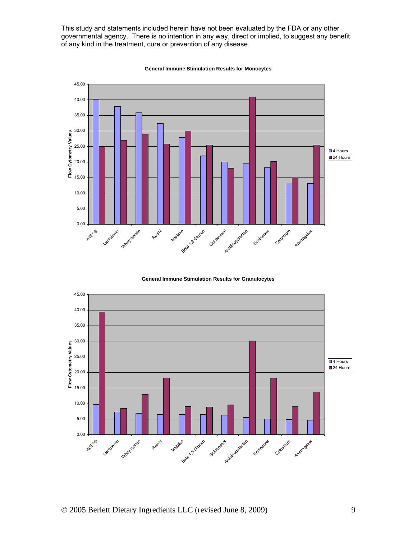

**General Immune Stimulation Results for Monocytes**

**General Immune Stimulation Results for Granulocytes**

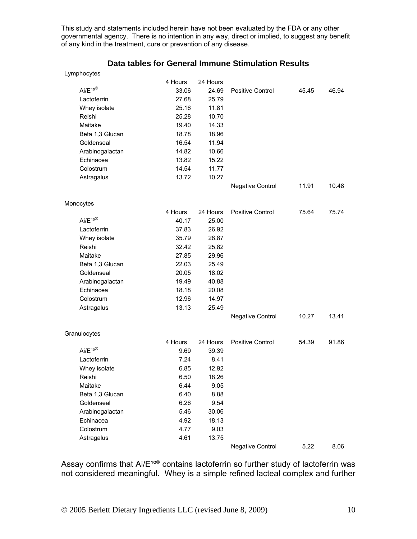#### **Data tables for General Immune Stimulation Results**

| Lymphocytes |  |
|-------------|--|
|-------------|--|

|                          | 4 Hours | 24 Hours |                         |       |       |
|--------------------------|---------|----------|-------------------------|-------|-------|
| $Ai/E^{10}$ <sup>®</sup> | 33.06   | 24.69    | Positive Control        | 45.45 | 46.94 |
| Lactoferrin              | 27.68   | 25.79    |                         |       |       |
| Whey isolate             | 25.16   | 11.81    |                         |       |       |
| Reishi                   | 25.28   | 10.70    |                         |       |       |
| Maitake                  | 19.40   | 14.33    |                         |       |       |
| Beta 1,3 Glucan          | 18.78   | 18.96    |                         |       |       |
| Goldenseal               | 16.54   | 11.94    |                         |       |       |
| Arabinogalactan          | 14.82   | 10.66    |                         |       |       |
| Echinacea                | 13.82   | 15.22    |                         |       |       |
| Colostrum                | 14.54   | 11.77    |                         |       |       |
| Astragalus               | 13.72   | 10.27    |                         |       |       |
|                          |         |          | <b>Negative Control</b> | 11.91 | 10.48 |
| Monocytes                |         |          |                         |       |       |
|                          | 4 Hours | 24 Hours | <b>Positive Control</b> | 75.64 | 75.74 |
| Ai/E <sup>10®</sup>      | 40.17   | 25.00    |                         |       |       |
| Lactoferrin              | 37.83   | 26.92    |                         |       |       |
| Whey isolate             | 35.79   | 28.87    |                         |       |       |
| Reishi                   | 32.42   | 25.82    |                         |       |       |
| Maitake                  | 27.85   | 29.96    |                         |       |       |
| Beta 1,3 Glucan          | 22.03   | 25.49    |                         |       |       |
| Goldenseal               | 20.05   | 18.02    |                         |       |       |
| Arabinogalactan          | 19.49   | 40.88    |                         |       |       |
| Echinacea                | 18.18   | 20.08    |                         |       |       |
| Colostrum                | 12.96   | 14.97    |                         |       |       |
| Astragalus               | 13.13   | 25.49    |                         |       |       |
|                          |         |          | <b>Negative Control</b> | 10.27 | 13.41 |
| Granulocytes             |         |          |                         |       |       |
|                          | 4 Hours | 24 Hours | <b>Positive Control</b> | 54.39 | 91.86 |
| Ai/E <sup>10®</sup>      | 9.69    | 39.39    |                         |       |       |
| Lactoferrin              | 7.24    | 8.41     |                         |       |       |
| Whey isolate             | 6.85    | 12.92    |                         |       |       |
| Reishi                   | 6.50    | 18.26    |                         |       |       |
| Maitake                  | 6.44    | 9.05     |                         |       |       |
| Beta 1,3 Glucan          | 6.40    | 8.88     |                         |       |       |
| Goldenseal               | 6.26    | 9.54     |                         |       |       |
| Arabinogalactan          | 5.46    | 30.06    |                         |       |       |
| Echinacea                | 4.92    | 18.13    |                         |       |       |
| Colostrum                | 4.77    | 9.03     |                         |       |       |
| Astragalus               | 4.61    | 13.75    |                         |       |       |
|                          |         |          | <b>Negative Control</b> | 5.22  | 8.06  |

Assay confirms that  $Ai/E^{10}$ <sup>®</sup> contains lactoferrin so further study of lactoferrin was not considered meaningful. Whey is a simple refined lacteal complex and further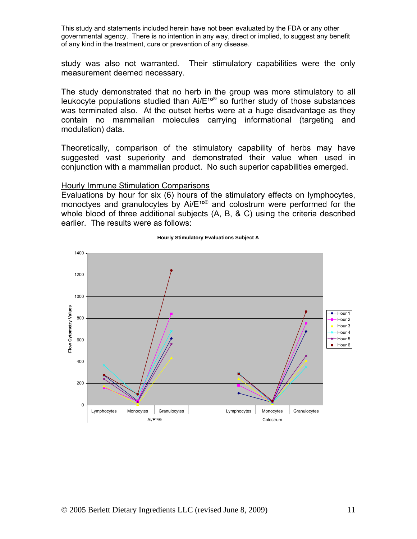study was also not warranted. Their stimulatory capabilities were the only measurement deemed necessary.

The study demonstrated that no herb in the group was more stimulatory to all leukocyte populations studied than  $Ai/E^{100}$  so further study of those substances was terminated also. At the outset herbs were at a huge disadvantage as they contain no mammalian molecules carrying informational (targeting and modulation) data.

Theoretically, comparison of the stimulatory capability of herbs may have suggested vast superiority and demonstrated their value when used in conjunction with a mammalian product. No such superior capabilities emerged.

#### Hourly Immune Stimulation Comparisons

Evaluations by hour for six (6) hours of the stimulatory effects on lymphocytes, monoctyes and granulocytes by  $Ai/E^{100}$  and colostrum were performed for the whole blood of three additional subjects (A, B, & C) using the criteria described earlier. The results were as follows:



#### **Hourly Stimulatory Evaluations Subject A**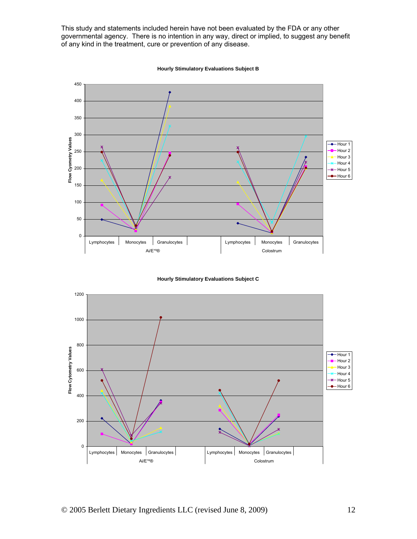





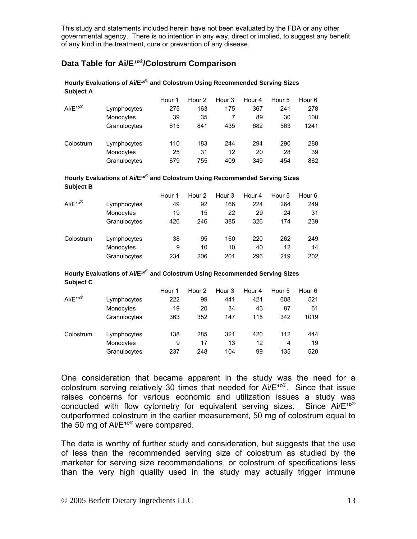# **Data Table for Ai/E<sup>10®</sup>/Colostrum Comparison**

#### **Subject A**  Hour 1 Hour 2 Hour 3 Hour 4 Hour 5 Hour 6  $Ai/E^{10}$ <sup>®</sup> Lymphocytes 275 163 175 367 241 278 Monocytes 39 35 7 89 30 100

**Hourly Evaluations of Ai/E<sup>10®</sup> and Colostrum Using Recommended Serving Sizes** 

|           | <u>IVIULUUTUU</u> |     | ີ   |     | ີ   |     | .    |
|-----------|-------------------|-----|-----|-----|-----|-----|------|
|           | Granulocytes      | 615 | 841 | 435 | 682 | 563 | 1241 |
| Colostrum | Lymphocytes       | 110 | 183 | 244 | 294 | 290 | 288  |
|           | Monocytes         | 25  | 31  | 12  | 20  | 28  | 39   |
|           | Granulocytes      | 679 | 755 | 409 | 349 | 454 | 862  |

#### **Hourly Evaluations of Ai/E<sup>10®</sup> and Colostrum Using Recommended Serving Sizes Subject B**

|             |              | Hour 1 | Hour 2 | Hour 3 | Hour 4 | Hour 5 | Hour 6 |
|-------------|--------------|--------|--------|--------|--------|--------|--------|
| $Ai/E^{10}$ | Lymphocytes  | 49     | 92     | 166    | 224    | 264    | 249    |
|             | Monocytes    | 19     | 15     | 22     | 29     | 24     | 31     |
|             | Granulocytes | 426    | 246    | 385    | 326    | 174    | 239    |
| Colostrum   | Lymphocytes  | 38     | 95     | 160    | 220    | 262    | 249    |
|             | Monocytes    | 9      | 10     | 10     | 40     | 12     | 14     |
|             | Granulocytes | 234    | 206    | 201    | 296    | 219    | 202    |

#### **Hourly Evaluations of Ai/E<sup>10®</sup> and Colostrum Using Recommended Serving Sizes Subject C**

|             |              | Hour 1 | Hour 2 | Hour 3 | Hour 4 | Hour 5 | Hour 6 |
|-------------|--------------|--------|--------|--------|--------|--------|--------|
| $Ai/E^{10}$ | Lymphocytes  | 222    | 99     | 441    | 421    | 608    | 521    |
|             | Monocytes    | 19     | 20     | 34     | 43     | 87     | 61     |
|             | Granulocytes | 363    | 352    | 147    | 115    | 342    | 1019   |
| Colostrum   | Lymphocytes  | 138    | 285    | 321    | 420    | 112    | 444    |
|             | Monocytes    | 9      | 17     | 13     | 12     | 4      | 19     |
|             | Granulocytes | 237    | 248    | 104    | 99     | 135    | 520    |

One consideration that became apparent in the study was the need for a colostrum serving relatively 30 times that needed for  $Ai/E^{10\%}$ . Since that issue raises concerns for various economic and utilization issues a study was conducted with flow cytometry for equivalent serving sizes. Since  $Ai/E^{10}$ <sup>®</sup> outperformed colostrum in the earlier measurement, 50 mg of colostrum equal to the 50 mg of  $Ai/E^{10\%}$  were compared.

The data is worthy of further study and consideration, but suggests that the use of less than the recommended serving size of colostrum as studied by the marketer for serving size recommendations, or colostrum of specifications less than the very high quality used in the study may actually trigger immune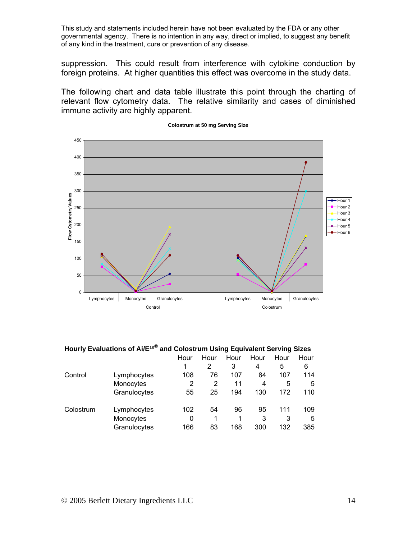suppression. This could result from interference with cytokine conduction by foreign proteins. At higher quantities this effect was overcome in the study data.

The following chart and data table illustrate this point through the charting of relevant flow cytometry data. The relative similarity and cases of diminished immune activity are highly apparent.



**Colostrum at 50 mg Serving Size**

#### **Hourly Evaluations of Ai/E<sup>10®</sup> and Colostrum Using Equivalent Serving Sizes**

|           |              | Hour | Hour | Hour | Hour | Hour | Hour |
|-----------|--------------|------|------|------|------|------|------|
|           |              |      | 2    | 3    | 4    | 5    | 6    |
| Control   | Lymphocytes  | 108  | 76   | 107  | 84   | 107  | 114  |
|           | Monocytes    | 2    | 2    | 11   | 4    | 5    | 5    |
|           | Granulocytes | 55   | 25   | 194  | 130  | 172  | 110  |
| Colostrum | Lymphocytes  | 102  | 54   | 96   | 95   | 111  | 109  |
|           | Monocytes    | 0    | 1    | 1    | 3    | 3    | 5    |
|           | Granulocytes | 166  | 83   | 168  | 300  | 132  | 385  |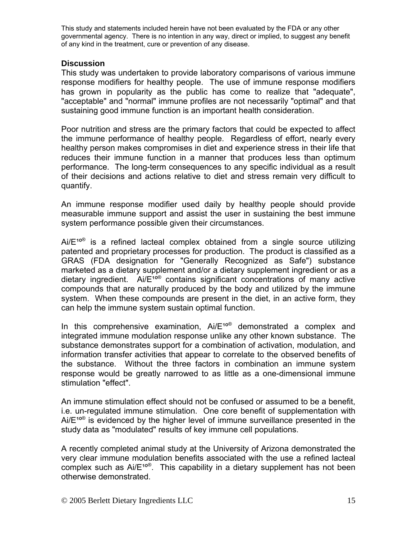## **Discussion**

This study was undertaken to provide laboratory comparisons of various immune response modifiers for healthy people. The use of immune response modifiers has grown in popularity as the public has come to realize that "adequate", "acceptable" and "normal" immune profiles are not necessarily "optimal" and that sustaining good immune function is an important health consideration.

Poor nutrition and stress are the primary factors that could be expected to affect the immune performance of healthy people. Regardless of effort, nearly every healthy person makes compromises in diet and experience stress in their life that reduces their immune function in a manner that produces less than optimum performance. The long-term consequences to any specific individual as a result of their decisions and actions relative to diet and stress remain very difficult to quantify.

An immune response modifier used daily by healthy people should provide measurable immune support and assist the user in sustaining the best immune system performance possible given their circumstances.

 $Ai/E^{100}$  is a refined lacteal complex obtained from a single source utilizing patented and proprietary processes for production. The product is classified as a GRAS (FDA designation for "Generally Recognized as Safe") substance marketed as a dietary supplement and/or a dietary supplement ingredient or as a dietary ingredient. Ai/ $E^{10}$ <sup>®</sup> contains significant concentrations of many active compounds that are naturally produced by the body and utilized by the immune system. When these compounds are present in the diet, in an active form, they can help the immune system sustain optimal function.

In this comprehensive examination,  $Ai/E^{10}$  demonstrated a complex and integrated immune modulation response unlike any other known substance. The substance demonstrates support for a combination of activation, modulation, and information transfer activities that appear to correlate to the observed benefits of the substance. Without the three factors in combination an immune system response would be greatly narrowed to as little as a one-dimensional immune stimulation "effect".

An immune stimulation effect should not be confused or assumed to be a benefit, i.e. un-regulated immune stimulation. One core benefit of supplementation with  $Ai/E^{100}$  is evidenced by the higher level of immune surveillance presented in the study data as "modulated" results of key immune cell populations.

A recently completed animal study at the University of Arizona demonstrated the very clear immune modulation benefits associated with the use a refined lacteal complex such as  $Ai/E^{10\%}$ . This capability in a dietary supplement has not been otherwise demonstrated.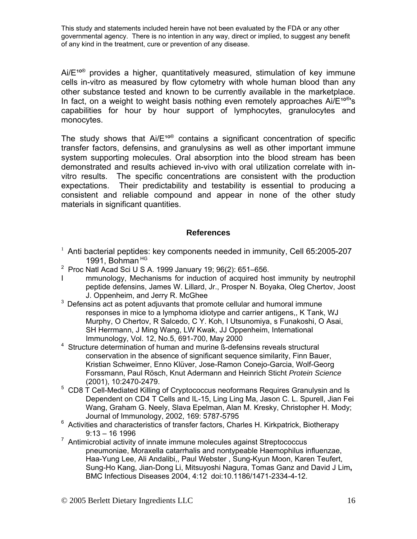$Ai/E^{10\textdegree}$  provides a higher, quantitatively measured, stimulation of key immune cells in-vitro as measured by flow cytometry with whole human blood than any other substance tested and known to be currently available in the marketplace. In fact, on a weight to weight basis nothing even remotely approaches  $Ai/E^{100}$ 's capabilities for hour by hour support of lymphocytes, granulocytes and monocytes.

The study shows that  $Ai/E^{100}$  contains a significant concentration of specific transfer factors, defensins, and granulysins as well as other important immune system supporting molecules. Oral absorption into the blood stream has been demonstrated and results achieved in-vivo with oral utilization correlate with invitro results. The specific concentrations are consistent with the production expectations. Their predictability and testability is essential to producing a consistent and reliable compound and appear in none of the other study materials in significant quantities.

## **References**

- $1$  Anti bacterial peptides: key components needed in immunity, Cell 65:2005-207 1991, Bohman HG
- <sup>2</sup> Proc Natl Acad Sci U S A. 1999 January 19; 96(2): 651–656.
- I mmunology, Mechanisms for induction of acquired host immunity by neutrophil peptide defensins, James W. Lillard, Jr., Prosper N. Boyaka, Oleg Chertov, Joost J. Oppenheim, and Jerry R. McGhee
- $3$  Defensins act as potent adjuvants that promote cellular and humoral immune responses in mice to a lymphoma idiotype and carrier antigens,, K Tank, WJ Murphy, O Chertov, R Salcedo, C Y. Koh, I Utsunomiya, s Funakoshi, O Asai, SH Herrmann, J Ming Wang, LW Kwak, JJ Oppenheim, International Immunology, Vol. 12, No.5, 691-700, May 2000
- 4 Structure determination of human and murine ß-defensins reveals structural conservation in the absence of significant sequence similarity, Finn Bauer, Kristian Schweimer, Enno Klüver, Jose-Ramon Conejo-Garcia, Wolf-Georg Forssmann, Paul Rösch, Knut Adermann and Heinrich Sticht *Protein Science* (2001), 10:2470-2479.
- <sup>5</sup> CD8 T Cell-Mediated Killing of Cryptococcus neoformans Requires Granulysin and Is Dependent on CD4 T Cells and IL-15, Ling Ling Ma, Jason C. L. Spurell, Jian Fei Wang, Graham G. Neely, Slava Epelman, Alan M. Kresky, Christopher H. Mody; Journal of Immunology, 2002, 169: 5787-5795
- <sup>6</sup> Activities and characteristics of transfer factors, Charles H. Kirkpatrick, Biotherapy 9:13 – 16 1996
- $7$  Antimicrobial activity of innate immune molecules against Streptococcus pneumoniae, Moraxella catarrhalis and nontypeable Haemophilus influenzae, Haa-Yung Lee, Ali Andalibi,, Paul Webster , Sung-Kyun Moon, Karen Teufert, Sung-Ho Kang, Jian-Dong Li, Mitsuyoshi Nagura, Tomas Ganz and David J Lim**,**  BMC Infectious Diseases 2004, 4:12 doi:10.1186/1471-2334-4-12.